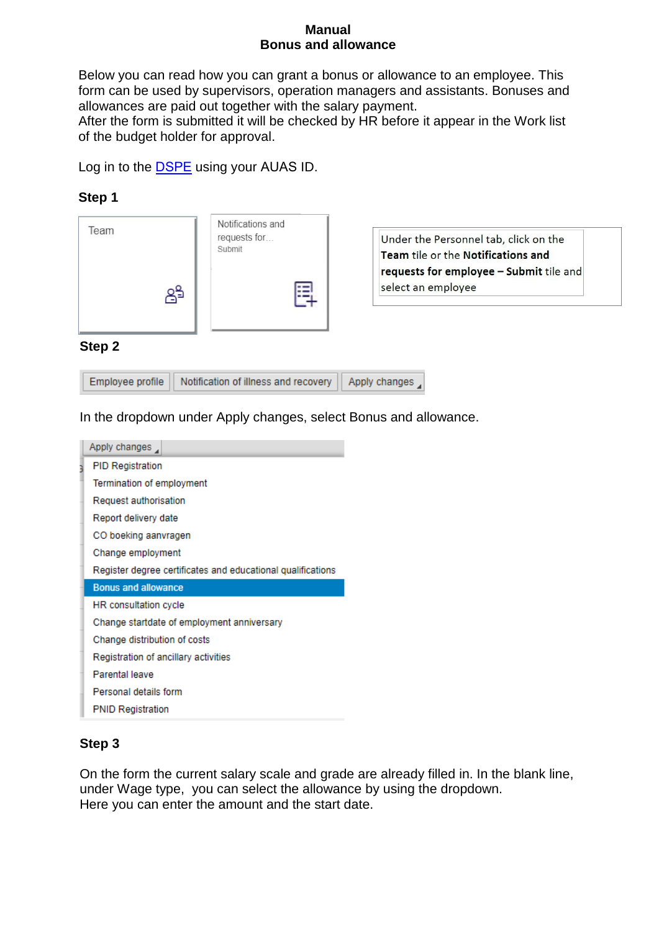#### **Manual Bonus and allowance**

Below you can read how you can grant a bonus or allowance to an employee. This form can be used by supervisors, operation managers and assistants. Bonuses and allowances are paid out together with the salary payment.

After the form is submitted it will be checked by HR before it appear in the Work list of the budget holder for approval.

Log in to the DSPE using your AUAS ID.

## **Step 1**

| Team | Notifications and<br>requests for<br>Submit |
|------|---------------------------------------------|
|      |                                             |
|      |                                             |

Under the Personnel tab, click on the Team tile or the Notifications and requests for employee - Submit tile and select an employee

#### **Step 2**

Employee profile Notification of illness and recovery Apply changes

In the dropdown under Apply changes, select Bonus and allowance.



## **Step 3**

On the form the current salary scale and grade are already filled in. In the blank line, under Wage type, you can select the allowance by using the dropdown. Here you can enter the amount and the start date.